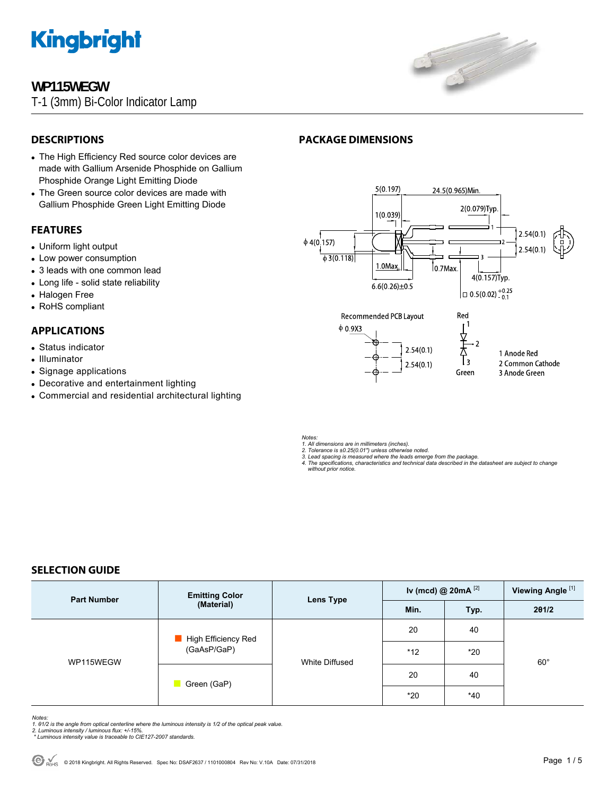

# **WP115WEGW**

T-1 (3mm) Bi-Color Indicator Lamp



# **DESCRIPTIONS**

- The High Efficiency Red source color devices are made with Gallium Arsenide Phosphide on Gallium Phosphide Orange Light Emitting Diode
- The Green source color devices are made with Gallium Phosphide Green Light Emitting Diode

## **FEATURES**

- Uniform light output
- Low power consumption
- 3 leads with one common lead
- Long life solid state reliability
- Halogen Free
- RoHS compliant

# **APPLICATIONS**

- Status indicator
- Illuminator
- Signage applications
- Decorative and entertainment lighting
- Commercial and residential architectural lighting

# **PACKAGE DIMENSIONS**



*Notes:* 

*1. All dimensions are in millimeters (inches).* 

- *2. Tolerance is ±0.25(0.01") unless otherwise noted. 3. Lead spacing is measured where the leads emerge from the package.*
- *4. The specifications, characteristics and technical data described in the datasheet are subject to change without prior notice.*

# **SELECTION GUIDE**

| <b>Part Number</b> | <b>Emitting Color</b><br>(Material) | <b>Lens Type</b> | Iv (mcd) @ $20mA$ <sup>[2]</sup> |       | Viewing Angle <sup>[1]</sup> |  |
|--------------------|-------------------------------------|------------------|----------------------------------|-------|------------------------------|--|
|                    |                                     |                  | Min.                             | Typ.  | 201/2                        |  |
| WP115WEGW          | High Efficiency Red<br>(GaAsP/GaP)  | White Diffused   | 20                               | 40    |                              |  |
|                    |                                     |                  | $*12$                            | $*20$ | $60^{\circ}$                 |  |
|                    | Green (GaP)                         |                  | 20                               | 40    |                              |  |
|                    |                                     |                  | $*20$                            | $*40$ |                              |  |

*Notes:* 

- *1. θ1/2 is the angle from optical centerline where the luminous intensity is 1/2 of the optical peak value. 2. Luminous intensity / luminous flux: +/-15%.*
- *\* Luminous intensity value is traceable to CIE127-2007 standards.*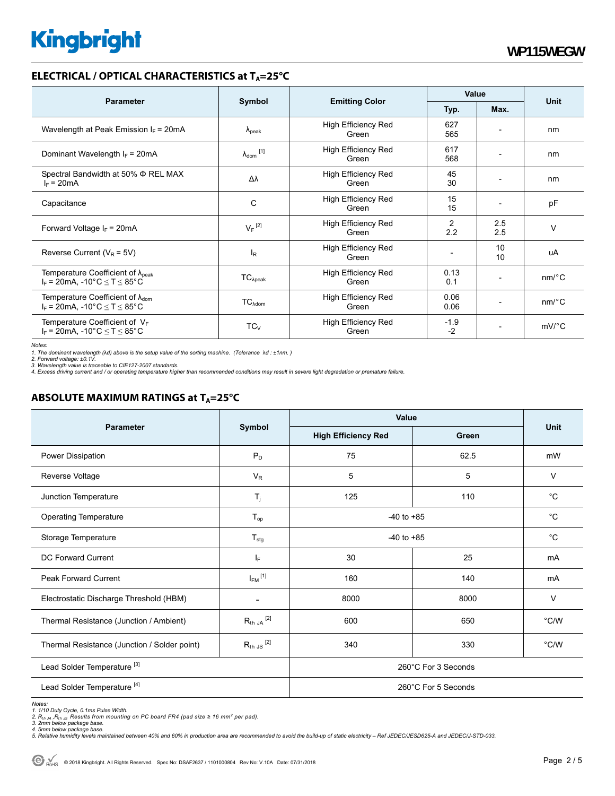## **ELECTRICAL / OPTICAL CHARACTERISTICS at T<sub>A</sub>=25°C**

| <b>Parameter</b>                                                                             | Symbol                       |                                     | Value          |                          |                       |
|----------------------------------------------------------------------------------------------|------------------------------|-------------------------------------|----------------|--------------------------|-----------------------|
|                                                                                              |                              | <b>Emitting Color</b>               | Typ.           | Max.                     | <b>Unit</b>           |
| Wavelength at Peak Emission $I_F$ = 20mA                                                     | $\Lambda_{\rm peak}$         | <b>High Efficiency Red</b><br>Green | 627<br>565     |                          | nm                    |
| Dominant Wavelength $I_F = 20 \text{mA}$                                                     | $\lambda_{\mathsf{dom}}$ [1] | <b>High Efficiency Red</b><br>Green | 617<br>568     |                          | nm                    |
| Spectral Bandwidth at 50% $\Phi$ REL MAX<br>$I_F = 20mA$                                     | Δλ                           | High Efficiency Red<br>Green        | 45<br>30       | $\overline{\phantom{0}}$ | nm                    |
| Capacitance                                                                                  | C                            | <b>High Efficiency Red</b><br>Green | 15<br>15       |                          | pF                    |
| Forward Voltage $I_F$ = 20mA                                                                 | $V_F$ <sup>[2]</sup>         | <b>High Efficiency Red</b><br>Green | 2<br>2.2       | 2.5<br>2.5               | $\vee$                |
| Reverse Current ( $V_R$ = 5V)                                                                | $I_R$                        | High Efficiency Red<br>Green        |                | 10<br>10                 | uA                    |
| Temperature Coefficient of $\lambda_{\text{peak}}$<br>$I_F = 20$ mA, -10°C $\le T \le 85$ °C | $TC_{\lambda peak}$          | High Efficiency Red<br>Green        | 0.13<br>0.1    |                          | $nm$ <sup>o</sup> $C$ |
| Temperature Coefficient of $\lambda_{\text{dom}}$<br>$I_F$ = 20mA, -10°C $\le T \le 85$ °C   | $TC_{\lambda dom}$           | <b>High Efficiency Red</b><br>Green | 0.06<br>0.06   |                          | $nm$ <sup>o</sup> $C$ |
| Temperature Coefficient of $V_F$<br>$I_F$ = 20mA, -10°C $\leq T \leq 85$ °C                  | $TC_{V}$                     | <b>High Efficiency Red</b><br>Green | $-1.9$<br>$-2$ | $\overline{\phantom{a}}$ | $mV$ <sup>o</sup> $C$ |

*Notes:* 

*1. The dominant wavelength (*λ*d) above is the setup value of the sorting machine. (Tolerance* λ*d : ±1nm. ) 2. Forward voltage: ±0.1V.* 

3. Wavelength value is traceable to CIE127-2007 standards.<br>4. Excess driving current and / or operating temperature higher than recommended conditions may result in severe light degradation or premature failure.

# **ABSOLUTE MAXIMUM RATINGS at T<sub>A</sub>=25°C**

|                                              | Symbol                  | <b>Value</b>               |       |               |  |
|----------------------------------------------|-------------------------|----------------------------|-------|---------------|--|
| <b>Parameter</b>                             |                         | <b>High Efficiency Red</b> | Green | Unit          |  |
| Power Dissipation                            | $P_D$                   | 75                         | 62.5  | mW            |  |
| Reverse Voltage                              | $V_R$                   | 5                          | 5     | $\vee$        |  |
| Junction Temperature                         | $T_{j}$                 | 125                        | 110   | $^{\circ}C$   |  |
| <b>Operating Temperature</b>                 | $T_{op}$                | $-40$ to $+85$             |       | $^{\circ}C$   |  |
| Storage Temperature                          | $T_{\text{stg}}$        | $-40$ to $+85$             |       | $^{\circ}C$   |  |
| <b>DC Forward Current</b>                    | $ _{\mathsf{F}}$        | 30                         | 25    | mA            |  |
| <b>Peak Forward Current</b>                  | $I_{FM}$ <sup>[1]</sup> | 160                        | 140   | mA            |  |
| Electrostatic Discharge Threshold (HBM)      |                         | 8000                       | 8000  | $\vee$        |  |
| Thermal Resistance (Junction / Ambient)      | $R_{th}$ ja $^{[2]}$    | 600                        | 650   | $\degree$ C/W |  |
| Thermal Resistance (Junction / Solder point) | $R_{th}$ JS $^{[2]}$    | 340                        | 330   | $\degree$ C/W |  |
| Lead Solder Temperature <sup>[3]</sup>       |                         | 260°C For 3 Seconds        |       |               |  |
| Lead Solder Temperature <sup>[4]</sup>       |                         | 260°C For 5 Seconds        |       |               |  |

Notes:<br>1. 1/10 Duty Cycle, 0.1ms Pulse Width.<br>2. R<sub>th JA</sub> ,R<sub>th JS</sub> Results from mounting on PC board FR4 (pad size ≥ 16 mm<sup>2</sup> per pad).<br>3. 2mm below package base.<br>4. Smlative humidity levels maintained between 40% and 60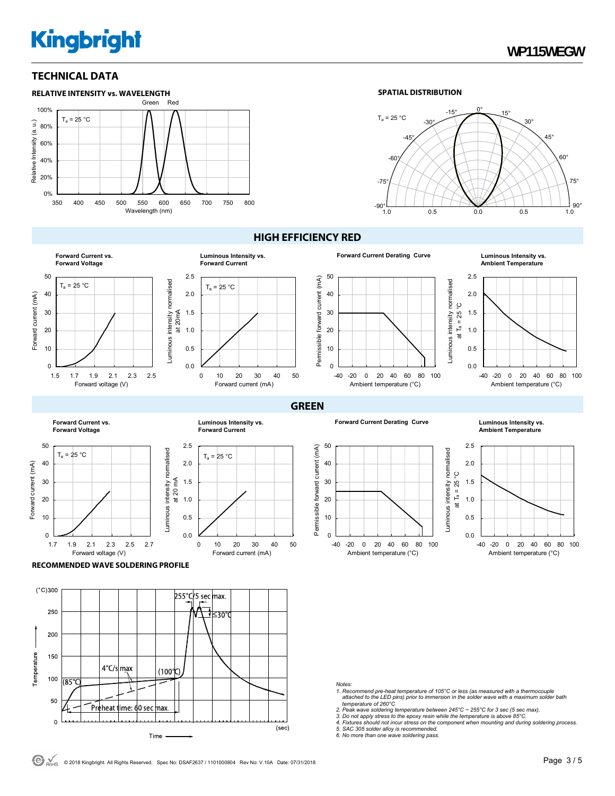# **TECHNICAL DATA**



#### **SPATIAL DISTRIBUTION**



#### **HIGH EFFICIENCY RED**

**GREEN**



#### 0.0 0.5 1.0 1.5 2.0 2.5 0 10 20 30 40 50  $T_a = 25 °C$ Forward current (mA) at 20mA **Luminous Intensity vs. Forward Current**

50 Permissible forward current (mA) Permissible forward current (mA) 40 30 20 10  $\overline{0}$ 

**Forward Current Derating Curve** 

**Luminous Intensity vs.**<br>Ambient Temperature



**Forward Current vs. Forward Voltage**



**Luminous Intensity vs. Forward Current**



**Forward Current Derating Curve Luminous Intensity vs.** 

-40 -20 0 20 40 60 80 100 Ambient temperature (°C)



**Ambient Temperature**



**RECOMMENDED WAVE SOLDERING PROFILE** 



*Notes:* 

- *1. Recommend pre-heat temperature of 105°C or less (as measured with a thermocouple attached to the LED pins) prior to immersion in the solder wave with a maximum solder bath temperature of 260°C*
- 
- *2. Peak wave soldering temperature between 245°C ~ 255°C for 3 sec (5 sec max). 3. Do not apply stress to the epoxy resin while the temperature is above 85°C.*

*4. Fixtures should not incur stress on the component when mounting and during soldering process. 5. SAC 305 solder alloy is recommended. 6. No more than one wave soldering pass.*

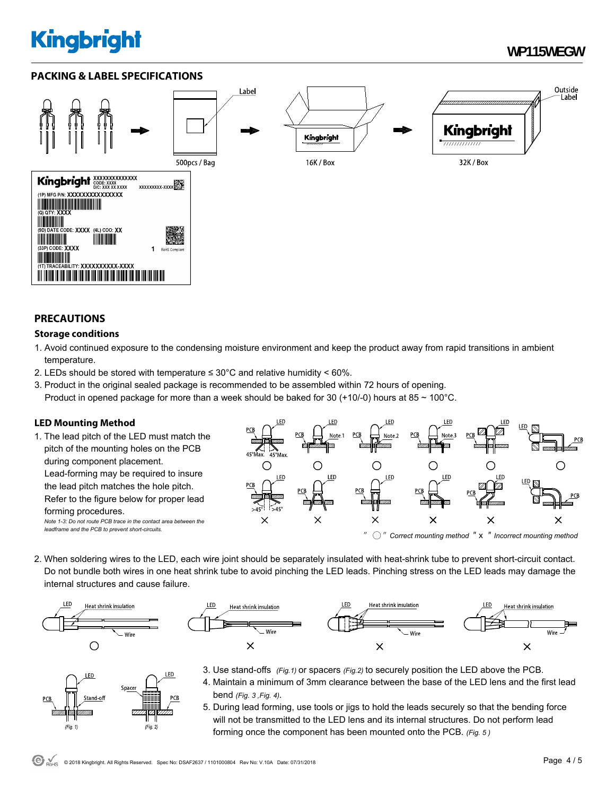# **WP115WEGW**

Outside

Label

# **PACKING & LABEL SPECIFICATIONS**



## **PRECAUTIONS**

### **Storage conditions**

- 1. Avoid continued exposure to the condensing moisture environment and keep the product away from rapid transitions in ambient temperature.
- 2. LEDs should be stored with temperature  $\leq 30^{\circ}$ C and relative humidity < 60%.
- 3. Product in the original sealed package is recommended to be assembled within 72 hours of opening. Product in opened package for more than a week should be baked for 30 (+10/-0) hours at 85  $\sim$  100 $^{\circ}$ C.

## **LED Mounting Method**

1. The lead pitch of the LED must match the pitch of the mounting holes on the PCB during component placement. Lead-forming may be required to insure the lead pitch matches the hole pitch. Refer to the figure below for proper lead forming procedures. *Note 1-3: Do not route PCB trace in the contact area between the leadframe and the PCB to prevent short-circuits.* 



2. When soldering wires to the LED, each wire joint should be separately insulated with heat-shrink tube to prevent short-circuit contact. Do not bundle both wires in one heat shrink tube to avoid pinching the LED leads. Pinching stress on the LED leads may damage the internal structures and cause failure.



LED

 $(Fig. 1)$ 

Spacer

 $\nabla$ 

 $(Fig. 2)$ 



- 3. Use stand-offs *(Fig.1)* or spacers *(Fig.2)* to securely position the LED above the PCB.
- 4. Maintain a minimum of 3mm clearance between the base of the LED lens and the first lead bend *(Fig. 3 ,Fig. 4).*
- 5. During lead forming, use tools or jigs to hold the leads securely so that the bending force will not be transmitted to the LED lens and its internal structures. Do not perform lead forming once the component has been mounted onto the PCB. *(Fig. 5 )*

LED